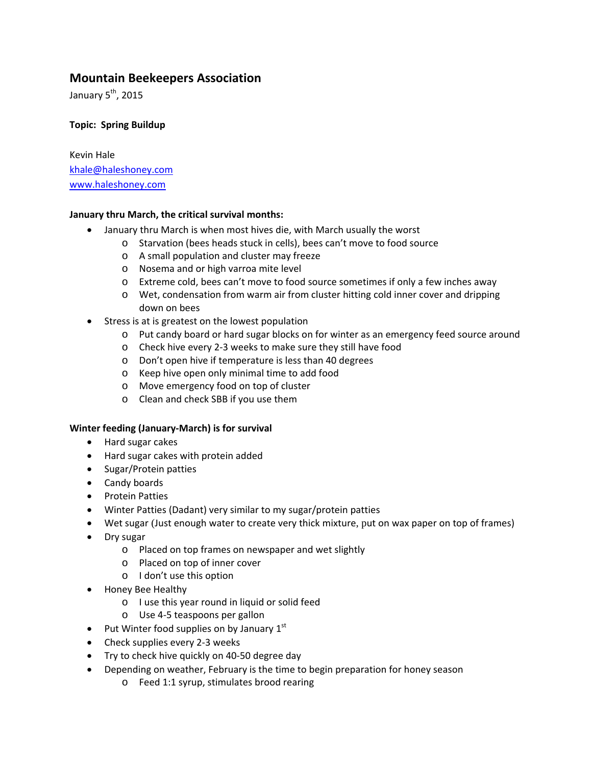# **Mountain Beekeepers Association**

January  $5<sup>th</sup>$ , 2015

## **Topic: Spring Buildup**

Kevin Hale khale@haleshoney.com www.haleshoney.com

## **January thru March, the critical survival months:**

- January thru March is when most hives die, with March usually the worst
	- o Starvation (bees heads stuck in cells), bees can't move to food source
	- o A small population and cluster may freeze
	- o Nosema and or high varroa mite level
	- o Extreme cold, bees can't move to food source sometimes if only a few inches away
	- o Wet, condensation from warm air from cluster hitting cold inner cover and dripping down on bees
- Stress is at is greatest on the lowest population
	- o Put candy board or hard sugar blocks on for winter as an emergency feed source around
	- o Check hive every 2‐3 weeks to make sure they still have food
	- o Don't open hive if temperature is less than 40 degrees
	- o Keep hive open only minimal time to add food
	- o Move emergency food on top of cluster
	- o Clean and check SBB if you use them

## **Winter feeding (January‐March) is for survival**

- Hard sugar cakes
- Hard sugar cakes with protein added
- Sugar/Protein patties
- Candy boards
- Protein Patties
- Winter Patties (Dadant) very similar to my sugar/protein patties
- Wet sugar (Just enough water to create very thick mixture, put on wax paper on top of frames)
- Dry sugar
	- o Placed on top frames on newspaper and wet slightly
	- o Placed on top of inner cover
	- o I don't use this option
- Honey Bee Healthy
	- o I use this year round in liquid or solid feed
	- o Use 4‐5 teaspoons per gallon
- Put Winter food supplies on by January  $1<sup>st</sup>$
- Check supplies every 2-3 weeks
- Try to check hive quickly on 40-50 degree day
- Depending on weather, February is the time to begin preparation for honey season
	- o Feed 1:1 syrup, stimulates brood rearing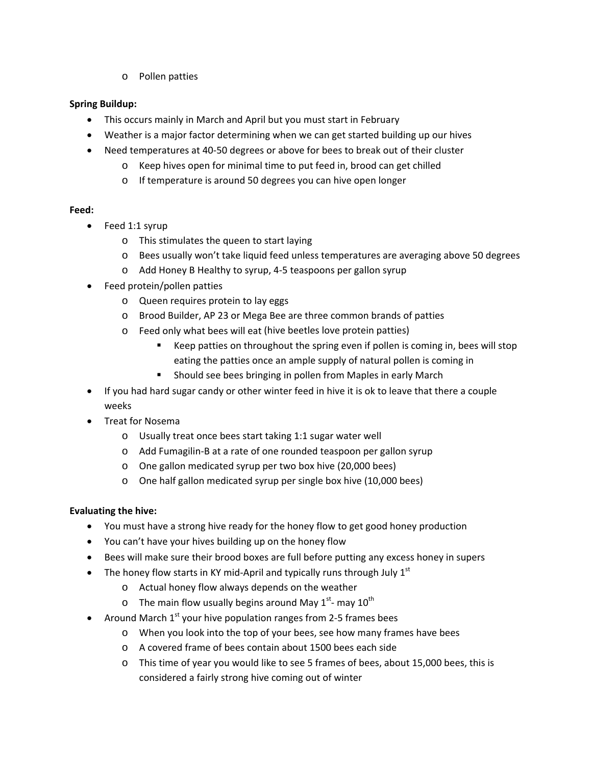o Pollen patties

## **Spring Buildup:**

- This occurs mainly in March and April but you must start in February
- Weather is a major factor determining when we can get started building up our hives
- Need temperatures at 40-50 degrees or above for bees to break out of their cluster
	- o Keep hives open for minimal time to put feed in, brood can get chilled
	- o If temperature is around 50 degrees you can hive open longer

## **Feed:**

- Feed 1:1 syrup
	- o This stimulates the queen to start laying
	- o Bees usually won't take liquid feed unless temperatures are averaging above 50 degrees
	- o Add Honey B Healthy to syrup, 4‐5 teaspoons per gallon syrup
- Feed protein/pollen patties
	- o Queen requires protein to lay eggs
	- o Brood Builder, AP 23 or Mega Bee are three common brands of patties
	- o Feed only what bees will eat (hive beetles love protein patties)
		- Keep patties on throughout the spring even if pollen is coming in, bees will stop eating the patties once an ample supply of natural pollen is coming in
		- **Should see bees bringing in pollen from Maples in early March**
- If you had hard sugar candy or other winter feed in hive it is ok to leave that there a couple weeks
- Treat for Nosema
	- o Usually treat once bees start taking 1:1 sugar water well
	- o Add Fumagilin‐B at a rate of one rounded teaspoon per gallon syrup
	- o One gallon medicated syrup per two box hive (20,000 bees)
	- o One half gallon medicated syrup per single box hive (10,000 bees)

## **Evaluating the hive:**

- You must have a strong hive ready for the honey flow to get good honey production
- You can't have your hives building up on the honey flow
- Bees will make sure their brood boxes are full before putting any excess honey in supers
- The honey flow starts in KY mid-April and typically runs through July  $1<sup>st</sup>$ 
	- o Actual honey flow always depends on the weather
	- o The main flow usually begins around May  $1<sup>st</sup>$  may  $10<sup>th</sup>$
- Around March  $1<sup>st</sup>$  your hive population ranges from 2-5 frames bees
	- o When you look into the top of your bees, see how many frames have bees
	- o A covered frame of bees contain about 1500 bees each side
	- o This time of year you would like to see 5 frames of bees, about 15,000 bees, this is considered a fairly strong hive coming out of winter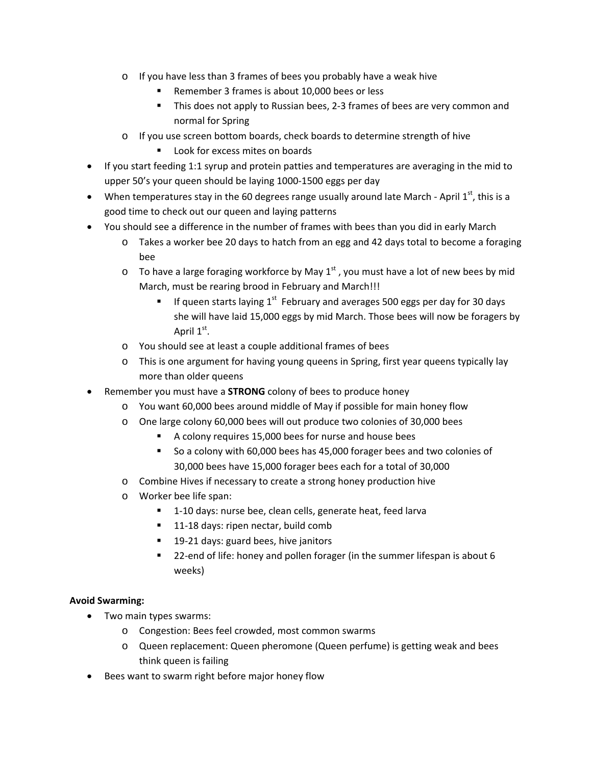- o If you have less than 3 frames of bees you probably have a weak hive
	- Remember 3 frames is about 10,000 bees or less
	- This does not apply to Russian bees, 2-3 frames of bees are very common and normal for Spring
- o If you use screen bottom boards, check boards to determine strength of hive
	- **Look for excess mites on boards**
- If you start feeding 1:1 syrup and protein patties and temperatures are averaging in the mid to upper 50's your queen should be laying 1000‐1500 eggs per day
- When temperatures stay in the 60 degrees range usually around late March April  $1^{st}$ , this is a good time to check out our queen and laying patterns
- You should see a difference in the number of frames with bees than you did in early March
	- o Takes a worker bee 20 days to hatch from an egg and 42 days total to become a foraging bee
	- $\circ$  To have a large foraging workforce by May 1<sup>st</sup>, you must have a lot of new bees by mid March, must be rearing brood in February and March!!!
		- If queen starts laying  $1^{st}$  February and averages 500 eggs per day for 30 days she will have laid 15,000 eggs by mid March. Those bees will now be foragers by April  $1<sup>st</sup>$ .
	- o You should see at least a couple additional frames of bees
	- o This is one argument for having young queens in Spring, first year queens typically lay more than older queens
- Remember you must have a **STRONG** colony of bees to produce honey
	- o You want 60,000 bees around middle of May if possible for main honey flow
	- o One large colony 60,000 bees will out produce two colonies of 30,000 bees
		- A colony requires 15,000 bees for nurse and house bees
		- So a colony with 60,000 bees has 45,000 forager bees and two colonies of 30,000 bees have 15,000 forager bees each for a total of 30,000
	- o Combine Hives if necessary to create a strong honey production hive
	- o Worker bee life span:
		- 1-10 days: nurse bee, clean cells, generate heat, feed larva
		- 11-18 days: ripen nectar, build comb
		- 19-21 days: guard bees, hive janitors
		- 22-end of life: honey and pollen forager (in the summer lifespan is about 6 weeks)

## **Avoid Swarming:**

- Two main types swarms:
	- o Congestion: Bees feel crowded, most common swarms
	- o Queen replacement: Queen pheromone (Queen perfume) is getting weak and bees think queen is failing
- Bees want to swarm right before major honey flow